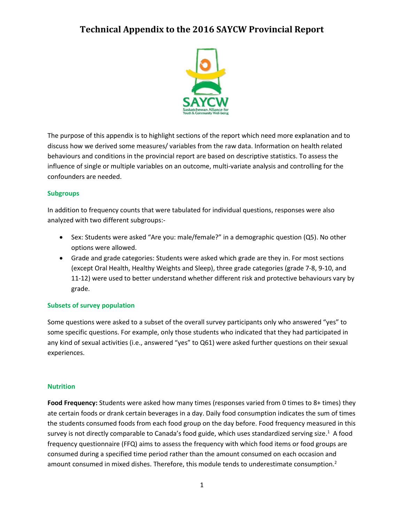

The purpose of this appendix is to highlight sections of the report which need more explanation and to discuss how we derived some measures/ variables from the raw data. Information on health related behaviours and conditions in the provincial report are based on descriptive statistics. To assess the influence of single or multiple variables on an outcome, multi-variate analysis and controlling for the confounders are needed.

## **Subgroups**

In addition to frequency counts that were tabulated for individual questions, responses were also analyzed with two different subgroups:-

- Sex: Students were asked "Are you: male/female?" in a demographic question (Q5). No other options were allowed.
- Grade and grade categories: Students were asked which grade are they in. For most sections (except Oral Health, Healthy Weights and Sleep), three grade categories (grade 7-8, 9-10, and 11-12) were used to better understand whether different risk and protective behaviours vary by grade.

#### **Subsets of survey population**

Some questions were asked to a subset of the overall survey participants only who answered "yes" to some specific questions. For example, only those students who indicated that they had participated in any kind of sexual activities (i.e., answered "yes" to Q61) were asked further questions on their sexual experiences.

#### **Nutrition**

Food Frequency: Students were asked how many times (responses varied from 0 times to 8+ times) they ate certain foods or drank certain beverages in a day. Daily food consumption indicates the sum of times the students consumed foods from each food group on the day before. Food frequency measured in this survey is not directly comparable to Canada's food guide, which uses standardized serving size.<sup>1</sup> A food frequency questionnaire (FFQ) aims to assess the frequency with which food items or food groups are consumed during a specified time period rather than the amount consumed on each occasion and amount consumed in mixed dishes. Therefore, this module tends to underestimate consumption.<sup>2</sup>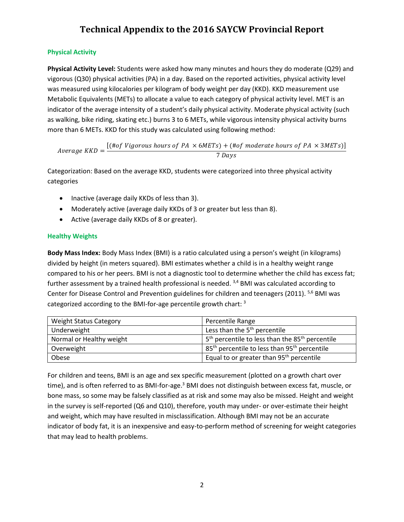## **Physical Activity**

**Physical Activity Level:** Students were asked how many minutes and hours they do moderate (Q29) and vigorous (Q30) physical activities (PA) in a day. Based on the reported activities, physical activity level was measured using kilocalories per kilogram of body weight per day (KKD). KKD measurement use Metabolic Equivalents (METs) to allocate a value to each category of physical activity level. MET is an indicator of the average intensity of a student's daily physical activity. Moderate physical activity (such as walking, bike riding, skating etc.) burns 3 to 6 METs, while vigorous intensity physical activity burns more than 6 METs. KKD for this study was calculated using following method:

Average KKD  $=$   $\frac{[(\text{#of Vigorous hours of PA} \times 6METs) + (\text{#of moderate hours of PA} \times 3METs)]}{[S]^{n}}$ 7 Days

Categorization: Based on the average KKD, students were categorized into three physical activity categories

- Inactive (average daily KKDs of less than 3).
- Moderately active (average daily KKDs of 3 or greater but less than 8).
- Active (average daily KKDs of 8 or greater).

## **Healthy Weights**

**Body Mass Index:** Body Mass Index (BMI) is a ratio calculated using a person's weight (in kilograms) divided by height (in meters squared). BMI estimates whether a child is in a healthy weight range compared to his or her peers. BMI is not a diagnostic tool to determine whether the child has excess fat; further assessment by a trained health professional is needed. <sup>3,4</sup> BMI was calculated according to Center for Disease Control and Prevention guidelines for children and teenagers (2011). <sup>5,6</sup> BMI was categorized according to the BMI-for-age percentile growth chart:  $^3$ 

| <b>Weight Status Category</b> | Percentile Range                                                        |
|-------------------------------|-------------------------------------------------------------------------|
| Underweight                   | Less than the 5 <sup>th</sup> percentile                                |
| Normal or Healthy weight      | 5 <sup>th</sup> percentile to less than the 85 <sup>th</sup> percentile |
| Overweight                    | 85 <sup>th</sup> percentile to less than 95 <sup>th</sup> percentile    |
| Obese                         | Equal to or greater than 95 <sup>th</sup> percentile                    |

For children and teens, BMI is an age and sex specific measurement (plotted on a growth chart over time), and is often referred to as BMI-for-age.<sup>3</sup> BMI does not distinguish between excess fat, muscle, or bone mass, so some may be falsely classified as at risk and some may also be missed. Height and weight in the survey is self-reported (Q6 and Q10), therefore, youth may under- or over-estimate their height and weight, which may have resulted in misclassification. Although BMI may not be an accurate indicator of body fat, it is an inexpensive and easy-to-perform method of screening for weight categories that may lead to health problems.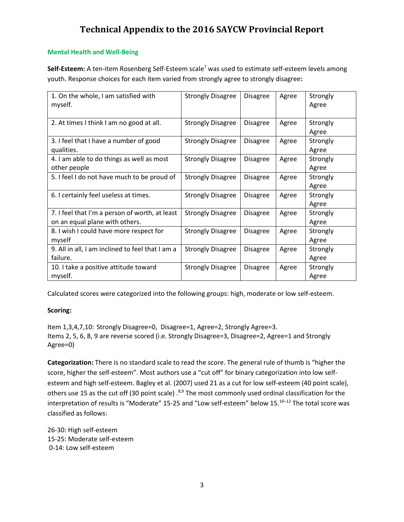## **Mental Health and Well-Being**

Self-Esteem: A ten-item Rosenberg Self-Esteem scale<sup>7</sup> was used to estimate self-esteem levels among youth. Response choices for each item varied from strongly agree to strongly disagree**:**

| 1. On the whole, I am satisfied with<br>myself.                                  | <b>Strongly Disagree</b> | <b>Disagree</b> | Agree | Strongly<br>Agree |
|----------------------------------------------------------------------------------|--------------------------|-----------------|-------|-------------------|
| 2. At times I think I am no good at all.                                         | <b>Strongly Disagree</b> | <b>Disagree</b> | Agree | Strongly<br>Agree |
| 3. I feel that I have a number of good<br>qualities.                             | <b>Strongly Disagree</b> | <b>Disagree</b> | Agree | Strongly<br>Agree |
| 4. I am able to do things as well as most<br>other people                        | <b>Strongly Disagree</b> | <b>Disagree</b> | Agree | Strongly<br>Agree |
| 5. I feel I do not have much to be proud of                                      | <b>Strongly Disagree</b> | <b>Disagree</b> | Agree | Strongly<br>Agree |
| 6. I certainly feel useless at times.                                            | <b>Strongly Disagree</b> | <b>Disagree</b> | Agree | Strongly<br>Agree |
| 7. I feel that I'm a person of worth, at least<br>on an equal plane with others. | <b>Strongly Disagree</b> | <b>Disagree</b> | Agree | Strongly<br>Agree |
| 8. I wish I could have more respect for<br>myself                                | <b>Strongly Disagree</b> | <b>Disagree</b> | Agree | Strongly<br>Agree |
| 9. All in all, I am inclined to feel that I am a<br>failure.                     | <b>Strongly Disagree</b> | <b>Disagree</b> | Agree | Strongly<br>Agree |
| 10. I take a positive attitude toward<br>myself.                                 | <b>Strongly Disagree</b> | <b>Disagree</b> | Agree | Strongly<br>Agree |

Calculated scores were categorized into the following groups: high, moderate or low self-esteem.

## **Scoring:**

Item 1,3,4,7,10: Strongly Disagree=0, Disagree=1, Agree=2, Strongly Agree=3. Items 2, 5, 6, 8, 9 are reverse scored (i.e. Strongly Disagree=3, Disagree=2, Agree=1 and Strongly Agree=0)

**Categorization:** There is no standard scale to read the score. The general rule of thumb is "higher the score, higher the self-esteem". Most authors use a "cut off" for binary categorization into low selfesteem and high self-esteem. Bagley et al. (2007) used 21 as a cut for low self-esteem (40 point scale), others use 15 as the cut off (30 point scale) .<sup>8,9</sup> The most commonly used ordinal classification for the interpretation of results is "Moderate" 15-25 and "Low self-esteem" below 15.<sup>10–12</sup> The total score was classified as follows:

26-30: High self-esteem 15-25: Moderate self-esteem 0-14: Low self-esteem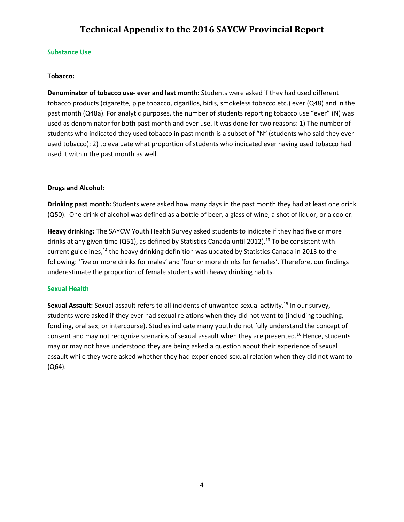#### **Substance Use**

#### **Tobacco:**

**Denominator of tobacco use- ever and last month:** Students were asked if they had used different tobacco products (cigarette, pipe tobacco, cigarillos, bidis, smokeless tobacco etc.) ever (Q48) and in the past month (Q48a). For analytic purposes, the number of students reporting tobacco use "ever" (N) was used as denominator for both past month and ever use. It was done for two reasons: 1) The number of students who indicated they used tobacco in past month is a subset of "N" (students who said they ever used tobacco); 2) to evaluate what proportion of students who indicated ever having used tobacco had used it within the past month as well.

#### **Drugs and Alcohol:**

**Drinking past month:** Students were asked how many days in the past month they had at least one drink (Q50). One drink of alcohol was defined as a bottle of beer, a glass of wine, a shot of liquor, or a cooler.

**Heavy drinking:** The SAYCW Youth Health Survey asked students to indicate if they had five or more drinks at any given time (Q51), as defined by Statistics Canada until 2012).<sup>13</sup> To be consistent with current guidelines,<sup>14</sup> the heavy drinking definition was updated by Statistics Canada in 2013 to the following: 'five or more drinks for males' and 'four or more drinks for females'**.** Therefore, our findings underestimate the proportion of female students with heavy drinking habits.

#### **Sexual Health**

**Sexual Assault:** Sexual assault refers to all incidents of unwanted sexual activity. <sup>15</sup> In our survey, students were asked if they ever had sexual relations when they did not want to (including touching, fondling, oral sex, or intercourse). Studies indicate many youth do not fully understand the concept of consent and may not recognize scenarios of sexual assault when they are presented.<sup>16</sup> Hence, students may or may not have understood they are being asked a question about their experience of sexual assault while they were asked whether they had experienced sexual relation when they did not want to (Q64).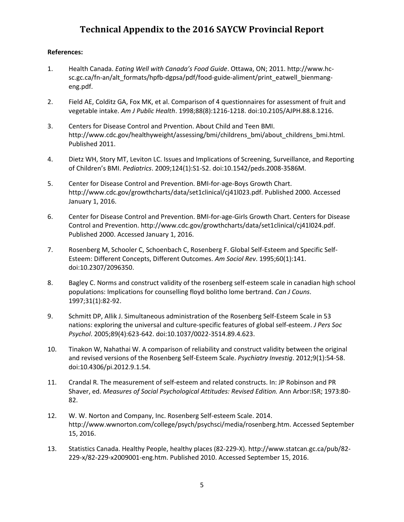## **References:**

- 1. Health Canada. *Eating Well with Canada's Food Guide*. Ottawa, ON; 2011. http://www.hcsc.gc.ca/fn-an/alt\_formats/hpfb-dgpsa/pdf/food-guide-aliment/print\_eatwell\_bienmangeng.pdf.
- 2. Field AE, Colditz GA, Fox MK, et al. Comparison of 4 questionnaires for assessment of fruit and vegetable intake. *Am J Public Health*. 1998;88(8):1216-1218. doi:10.2105/AJPH.88.8.1216.
- 3. Centers for Disease Control and Prvention. About Child and Teen BMI. http://www.cdc.gov/healthyweight/assessing/bmi/childrens\_bmi/about\_childrens\_bmi.html. Published 2011.
- 4. Dietz WH, Story MT, Leviton LC. Issues and Implications of Screening, Surveillance, and Reporting of Children's BMI. *Pediatrics*. 2009;124(1):S1-S2. doi:10.1542/peds.2008-3586M.
- 5. Center for Disease Control and Prevention. BMI-for-age-Boys Growth Chart. http://www.cdc.gov/growthcharts/data/set1clinical/cj41l023.pdf. Published 2000. Accessed January 1, 2016.
- 6. Center for Disease Control and Prevention. BMI-for-age-Girls Growth Chart. Centers for Disease Control and Prevention. http://www.cdc.gov/growthcharts/data/set1clinical/cj41l024.pdf. Published 2000. Accessed January 1, 2016.
- 7. Rosenberg M, Schooler C, Schoenbach C, Rosenberg F. Global Self-Esteem and Specific Self-Esteem: Different Concepts, Different Outcomes. *Am Sociol Rev*. 1995;60(1):141. doi:10.2307/2096350.
- 8. Bagley C. Norms and construct validity of the rosenberg self-esteem scale in canadian high school populations: Implications for counselling floyd bolitho lome bertrand. *Can J Couns*. 1997;31(1):82-92.
- 9. Schmitt DP, Allik J. Simultaneous administration of the Rosenberg Self-Esteem Scale in 53 nations: exploring the universal and culture-specific features of global self-esteem. *J Pers Soc Psychol*. 2005;89(4):623-642. doi:10.1037/0022-3514.89.4.623.
- 10. Tinakon W, Nahathai W. A comparison of reliability and construct validity between the original and revised versions of the Rosenberg Self-Esteem Scale. *Psychiatry Investig*. 2012;9(1):54-58. doi:10.4306/pi.2012.9.1.54.
- 11. Crandal R. The measurement of self-esteem and related constructs. In: JP Robinson and PR Shaver, ed. *Measures of Social Psychological Attitudes: Revised Edition.* Ann Arbor:ISR; 1973:80- 82.
- 12. W. W. Norton and Company, Inc. Rosenberg Self-esteem Scale. 2014. http://www.wwnorton.com/college/psych/psychsci/media/rosenberg.htm. Accessed September 15, 2016.
- 13. Statistics Canada. Healthy People, healthy places (82-229-X). http://www.statcan.gc.ca/pub/82- 229-x/82-229-x2009001-eng.htm. Published 2010. Accessed September 15, 2016.